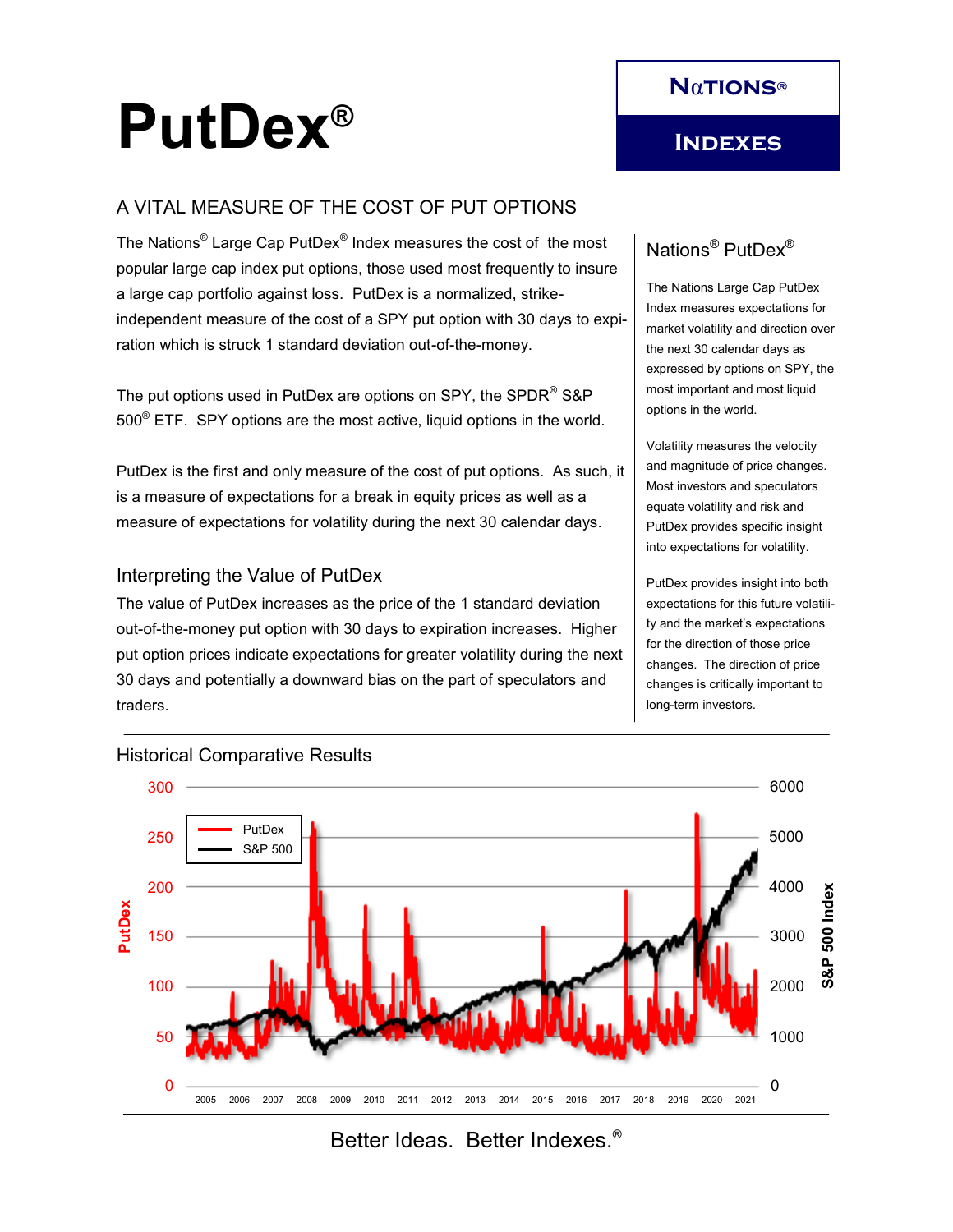# **PutDex®**

## A VITAL MEASURE OF THE COST OF PUT OPTIONS

The Nations $^\circ$  Large Cap PutDex $^\circ$  Index measures the cost of  $\,$  the most popular large cap index put options, those used most frequently to insure a large cap portfolio against loss. PutDex is a normalized, strikeindependent measure of the cost of a SPY put option with 30 days to expiration which is struck 1 standard deviation out-of-the-money.

The put options used in PutDex are options on SPY, the SPDR® S&P 500® ETF. SPY options are the most active, liquid options in the world.

PutDex is the first and only measure of the cost of put options. As such, it is a measure of expectations for a break in equity prices as well as a measure of expectations for volatility during the next 30 calendar days.

### Interpreting the Value of PutDex

The value of PutDex increases as the price of the 1 standard deviation out-of-the-money put option with 30 days to expiration increases. Higher put option prices indicate expectations for greater volatility during the next 30 days and potentially a downward bias on the part of speculators and traders.



**N**α**tions®**

# Nations® PutDex®

The Nations Large Cap PutDex Index measures expectations for market volatility and direction over the next 30 calendar days as expressed by options on SPY, the most important and most liquid options in the world.

Volatility measures the velocity and magnitude of price changes. Most investors and speculators equate volatility and risk and PutDex provides specific insight into expectations for volatility.

PutDex provides insight into both expectations for this future volatility and the market's expectations for the direction of those price changes. The direction of price changes is critically important to long-term investors.



#### Historical Comparative Results

Better Ideas. Better Indexes.®